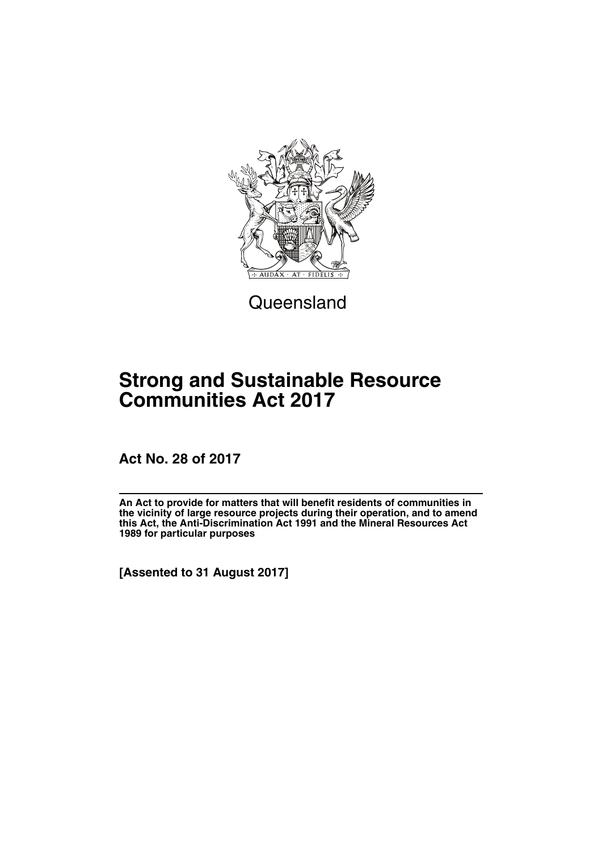

**Queensland** 

# **Strong and Sustainable Resource Communities Act 2017**

**Act No. 28 of 2017**

**An Act to provide for matters that will benefit residents of communities in the vicinity of large resource projects during their operation, and to amend this Act, the Anti-Discrimination Act 1991 and the Mineral Resources Act 1989 for particular purposes**

**[Assented to 31 August 2017]**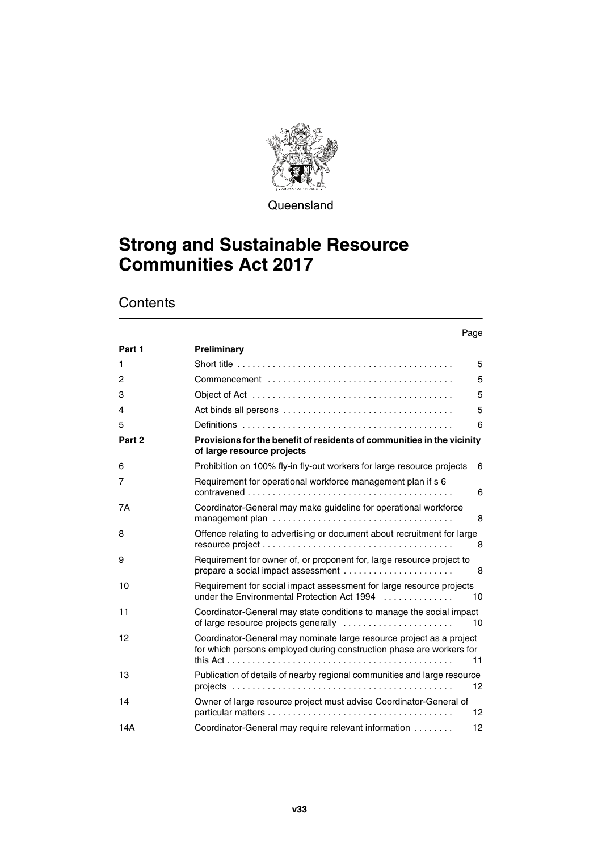

**Queensland** 

# **Strong and Sustainable Resource Communities Act 2017**

## **Contents**

| Preliminary                                                                                                                                  |                   |
|----------------------------------------------------------------------------------------------------------------------------------------------|-------------------|
|                                                                                                                                              | 5                 |
|                                                                                                                                              | 5                 |
|                                                                                                                                              | 5                 |
|                                                                                                                                              | 5                 |
|                                                                                                                                              | 6                 |
| Provisions for the benefit of residents of communities in the vicinity<br>of large resource projects                                         |                   |
| Prohibition on 100% fly-in fly-out workers for large resource projects                                                                       | 6                 |
| Requirement for operational workforce management plan if s 6                                                                                 | 6                 |
| Coordinator-General may make guideline for operational workforce                                                                             | 8                 |
| Offence relating to advertising or document about recruitment for large                                                                      | 8                 |
| Requirement for owner of, or proponent for, large resource project to<br>prepare a social impact assessment                                  | 8                 |
| Requirement for social impact assessment for large resource projects<br>under the Environmental Protection Act 1994                          | 10                |
| Coordinator-General may state conditions to manage the social impact<br>of large resource projects generally                                 | 10                |
| Coordinator-General may nominate large resource project as a project<br>for which persons employed during construction phase are workers for | 11                |
| Publication of details of nearby regional communities and large resource                                                                     | 12                |
| Owner of large resource project must advise Coordinator-General of                                                                           | 12                |
| Coordinator-General may require relevant information                                                                                         | $12 \overline{ }$ |
|                                                                                                                                              |                   |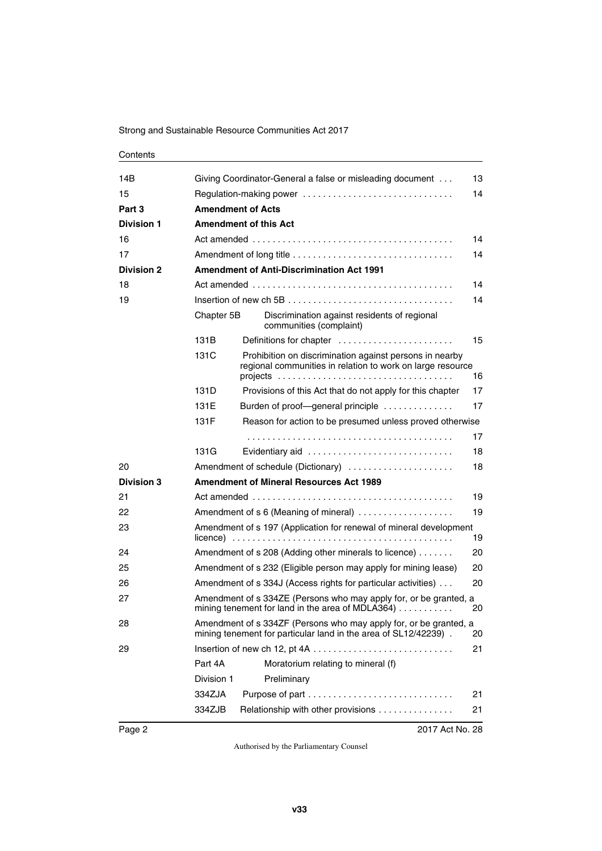#### **Contents**

| 14B               |            | Giving Coordinator-General a false or misleading document<br>13                                                                            |    |  |  |  |  |
|-------------------|------------|--------------------------------------------------------------------------------------------------------------------------------------------|----|--|--|--|--|
| 15                |            | Regulation-making power<br>14                                                                                                              |    |  |  |  |  |
| Part 3            |            | <b>Amendment of Acts</b>                                                                                                                   |    |  |  |  |  |
| <b>Division 1</b> |            | <b>Amendment of this Act</b>                                                                                                               |    |  |  |  |  |
| 16                |            |                                                                                                                                            | 14 |  |  |  |  |
| 17                |            |                                                                                                                                            | 14 |  |  |  |  |
| <b>Division 2</b> |            | <b>Amendment of Anti-Discrimination Act 1991</b>                                                                                           |    |  |  |  |  |
| 18                |            |                                                                                                                                            | 14 |  |  |  |  |
| 19                |            | 14<br>Insertion of new ch 5B $\dots\dots\dots\dots\dots\dots\dots\dots\dots\dots\dots\dots\dots\dots$                                      |    |  |  |  |  |
|                   | Chapter 5B | Discrimination against residents of regional<br>communities (complaint)                                                                    |    |  |  |  |  |
|                   | 131B       | Definitions for chapter                                                                                                                    | 15 |  |  |  |  |
|                   | 131C       | Prohibition on discrimination against persons in nearby<br>regional communities in relation to work on large resource                      | 16 |  |  |  |  |
|                   | 131D       | Provisions of this Act that do not apply for this chapter                                                                                  | 17 |  |  |  |  |
|                   | 131E       | Burden of proof-general principle                                                                                                          | 17 |  |  |  |  |
|                   | 131F       | Reason for action to be presumed unless proved otherwise                                                                                   |    |  |  |  |  |
|                   |            |                                                                                                                                            | 17 |  |  |  |  |
|                   | 131G       | Evidentiary aid                                                                                                                            | 18 |  |  |  |  |
| 20                |            | Amendment of schedule (Dictionary)                                                                                                         | 18 |  |  |  |  |
| <b>Division 3</b> |            | <b>Amendment of Mineral Resources Act 1989</b>                                                                                             |    |  |  |  |  |
| 21                |            |                                                                                                                                            | 19 |  |  |  |  |
| 22                |            | 19<br>Amendment of s 6 (Meaning of mineral)                                                                                                |    |  |  |  |  |
| 23                |            | Amendment of s 197 (Application for renewal of mineral development<br>19                                                                   |    |  |  |  |  |
| 24                |            | Amendment of s 208 (Adding other minerals to licence)                                                                                      | 20 |  |  |  |  |
| 25                |            | Amendment of s 232 (Eligible person may apply for mining lease)                                                                            | 20 |  |  |  |  |
| 26                |            | Amendment of s 334J (Access rights for particular activities)<br>20                                                                        |    |  |  |  |  |
| 27                |            | Amendment of s 334ZE (Persons who may apply for, or be granted, a<br>mining tenement for land in the area of MDLA364)<br>20                |    |  |  |  |  |
| 28                |            | Amendment of s 334ZF (Persons who may apply for, or be granted, a<br>mining tenement for particular land in the area of SL12/42239).<br>20 |    |  |  |  |  |
| 29                |            |                                                                                                                                            | 21 |  |  |  |  |
|                   | Part 4A    | Moratorium relating to mineral (f)                                                                                                         |    |  |  |  |  |
|                   | Division 1 | Preliminary                                                                                                                                |    |  |  |  |  |
|                   | 334ZJA     |                                                                                                                                            | 21 |  |  |  |  |
|                   | 334ZJB     | Relationship with other provisions                                                                                                         | 21 |  |  |  |  |
|                   |            |                                                                                                                                            |    |  |  |  |  |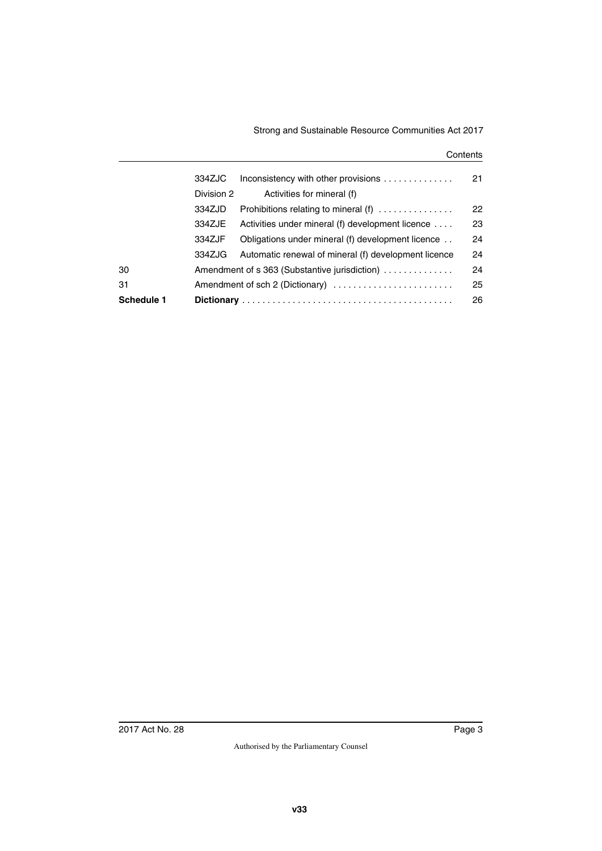#### **Contents**

|            | 334ZJC                                        | Inconsistency with other provisions                  | 21 |
|------------|-----------------------------------------------|------------------------------------------------------|----|
|            | Division 2                                    | Activities for mineral (f)                           |    |
|            | 334ZJD                                        | Prohibitions relating to mineral (f)                 | 22 |
|            | 334ZJE                                        | Activities under mineral (f) development licence     | 23 |
|            | 334ZJF                                        | Obligations under mineral (f) development licence    | 24 |
|            | 334ZJG                                        | Automatic renewal of mineral (f) development licence | 24 |
| 30         | Amendment of s 363 (Substantive jurisdiction) |                                                      | 24 |
| 31         |                                               | Amendment of sch 2 (Dictionary)                      | 25 |
| Schedule 1 |                                               |                                                      | 26 |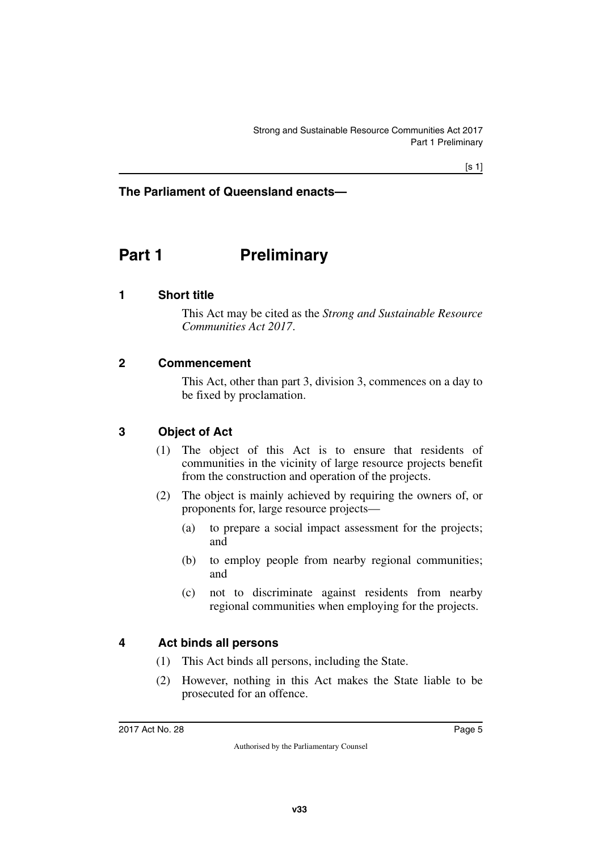### **The Parliament of Queensland enacts—**

## <span id="page-6-0"></span>**Part 1** Preliminary

#### <span id="page-6-2"></span>**1 Short title**

<span id="page-6-3"></span><span id="page-6-1"></span>This Act may be cited as the *Strong and Sustainable Resource Communities Act 2017*.

#### <span id="page-6-4"></span>**2 Commencement**

<span id="page-6-5"></span>This Act, other than part 3, division 3, commences on a day to be fixed by proclamation.

#### <span id="page-6-6"></span>**3 Object of Act**

- <span id="page-6-7"></span>(1) The object of this Act is to ensure that residents of communities in the vicinity of large resource projects benefit from the construction and operation of the projects.
- (2) The object is mainly achieved by requiring the owners of, or proponents for, large resource projects—
	- (a) to prepare a social impact assessment for the projects; and
	- (b) to employ people from nearby regional communities; and
	- (c) not to discriminate against residents from nearby regional communities when employing for the projects.

#### <span id="page-6-8"></span>**4 Act binds all persons**

- <span id="page-6-9"></span>(1) This Act binds all persons, including the State.
- (2) However, nothing in this Act makes the State liable to be prosecuted for an offence.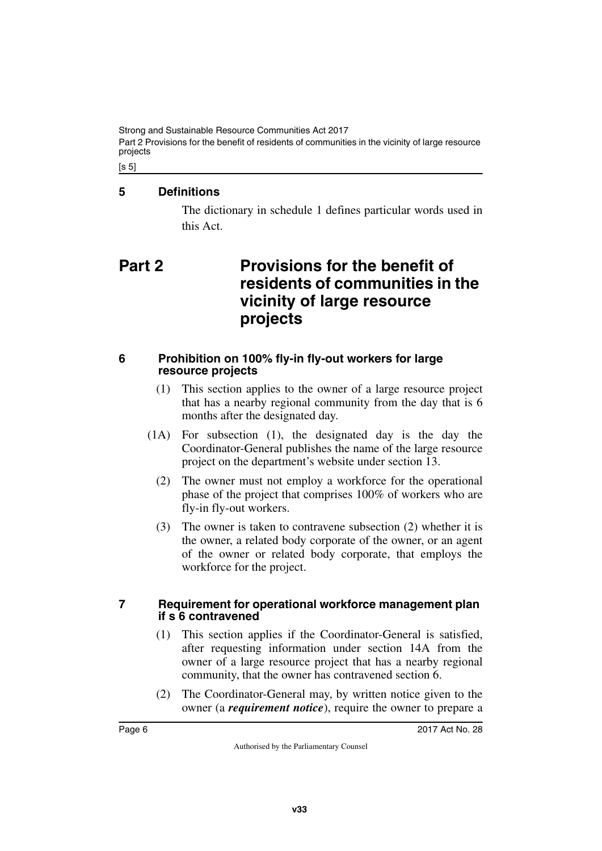Strong and Sustainable Resource Communities Act 2017 Part 2 Provisions for the benefit of residents of communities in the vicinity of large resource projects

 $[s 5]$ 

### <span id="page-7-0"></span>**5 Definitions**

<span id="page-7-3"></span><span id="page-7-1"></span>The dictionary in schedule 1 defines particular words used in this Act.

# <span id="page-7-2"></span>**Part 2 Provisions for the benefit of residents of communities in the vicinity of large resource projects**

#### <span id="page-7-4"></span>**6 Prohibition on 100% fly-in fly-out workers for large resource projects**

- <span id="page-7-5"></span>(1) This section applies to the owner of a large resource project that has a nearby regional community from the day that is 6 months after the designated day.
- (1A) For subsection (1), the designated day is the day the Coordinator-General publishes the name of the large resource project on the department's website under section 13.
	- (2) The owner must not employ a workforce for the operational phase of the project that comprises 100% of workers who are fly-in fly-out workers.
	- (3) The owner is taken to contravene subsection (2) whether it is the owner, a related body corporate of the owner, or an agent of the owner or related body corporate, that employs the workforce for the project.

#### <span id="page-7-7"></span><span id="page-7-6"></span>**7 Requirement for operational workforce management plan if s 6 contravened**

- (1) This section applies if the Coordinator-General is satisfied, after requesting information under section 14A from the owner of a large resource project that has a nearby regional community, that the owner has contravened section 6.
- (2) The Coordinator-General may, by written notice given to the owner (a *requirement notice*), require the owner to prepare a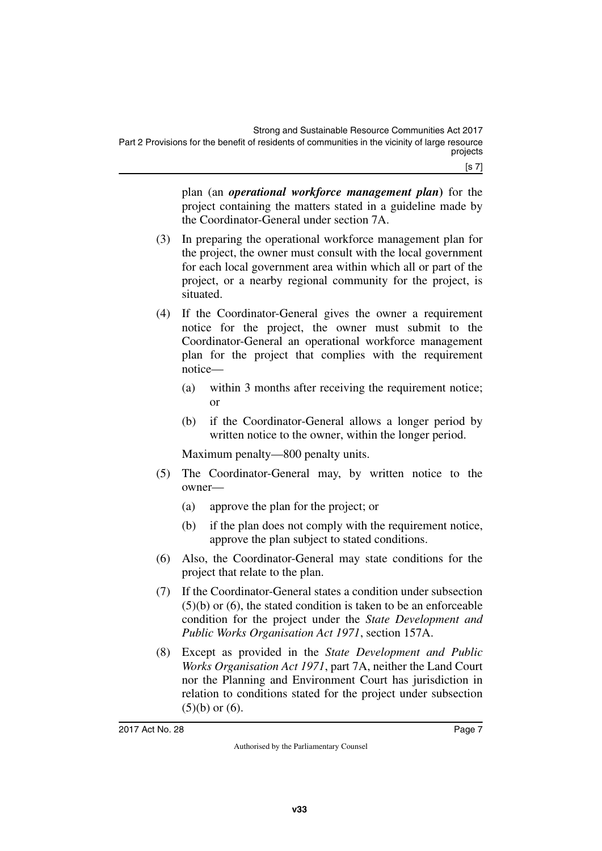plan (an *operational workforce management plan***)** for the project containing the matters stated in a guideline made by the Coordinator-General under section 7A.

- (3) In preparing the operational workforce management plan for the project, the owner must consult with the local government for each local government area within which all or part of the project, or a nearby regional community for the project, is situated.
- (4) If the Coordinator-General gives the owner a requirement notice for the project, the owner must submit to the Coordinator-General an operational workforce management plan for the project that complies with the requirement notice—
	- (a) within 3 months after receiving the requirement notice; or
	- (b) if the Coordinator-General allows a longer period by written notice to the owner, within the longer period.

Maximum penalty—800 penalty units.

- (5) The Coordinator-General may, by written notice to the owner—
	- (a) approve the plan for the project; or
	- (b) if the plan does not comply with the requirement notice, approve the plan subject to stated conditions.
- (6) Also, the Coordinator-General may state conditions for the project that relate to the plan.
- (7) If the Coordinator-General states a condition under subsection (5)(b) or (6), the stated condition is taken to be an enforceable condition for the project under the *State Development and Public Works Organisation Act 1971*, section 157A.
- (8) Except as provided in the *State Development and Public Works Organisation Act 1971*, part 7A, neither the Land Court nor the Planning and Environment Court has jurisdiction in relation to conditions stated for the project under subsection  $(5)(b)$  or  $(6)$ .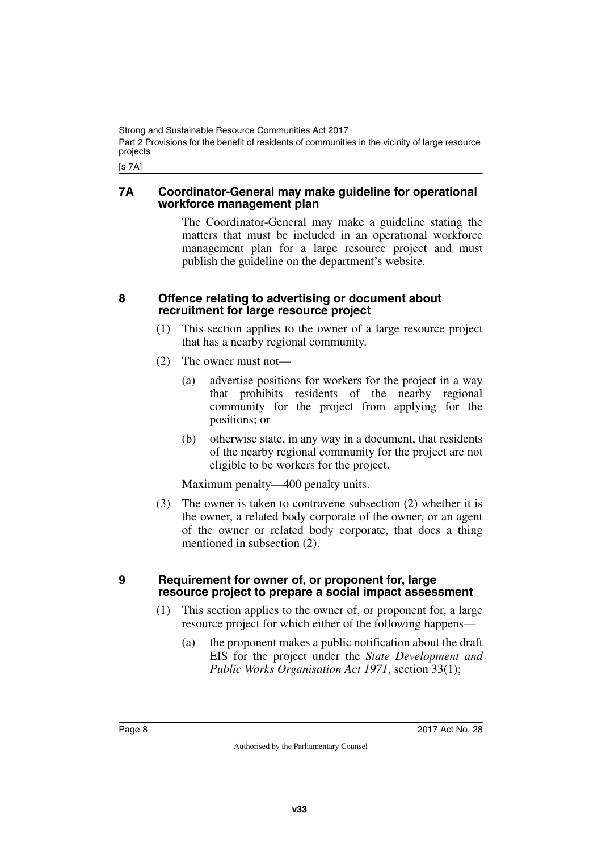Strong and Sustainable Resource Communities Act 2017 Part 2 Provisions for the benefit of residents of communities in the vicinity of large resource projects

<span id="page-9-1"></span>[s 7A]

#### <span id="page-9-0"></span>**7A Coordinator-General may make guideline for operational workforce management plan**

The Coordinator-General may make a guideline stating the matters that must be included in an operational workforce management plan for a large resource project and must publish the guideline on the department's website.

#### <span id="page-9-2"></span>**8 Offence relating to advertising or document about recruitment for large resource project**

- <span id="page-9-3"></span>(1) This section applies to the owner of a large resource project that has a nearby regional community.
- (2) The owner must not—
	- (a) advertise positions for workers for the project in a way that prohibits residents of the nearby regional community for the project from applying for the positions; or
	- (b) otherwise state, in any way in a document, that residents of the nearby regional community for the project are not eligible to be workers for the project.

Maximum penalty—400 penalty units.

(3) The owner is taken to contravene subsection (2) whether it is the owner, a related body corporate of the owner, or an agent of the owner or related body corporate, that does a thing mentioned in subsection (2).

#### <span id="page-9-5"></span><span id="page-9-4"></span>**9 Requirement for owner of, or proponent for, large resource project to prepare a social impact assessment**

- (1) This section applies to the owner of, or proponent for, a large resource project for which either of the following happens—
	- (a) the proponent makes a public notification about the draft EIS for the project under the *State Development and Public Works Organisation Act 1971*, section 33(1);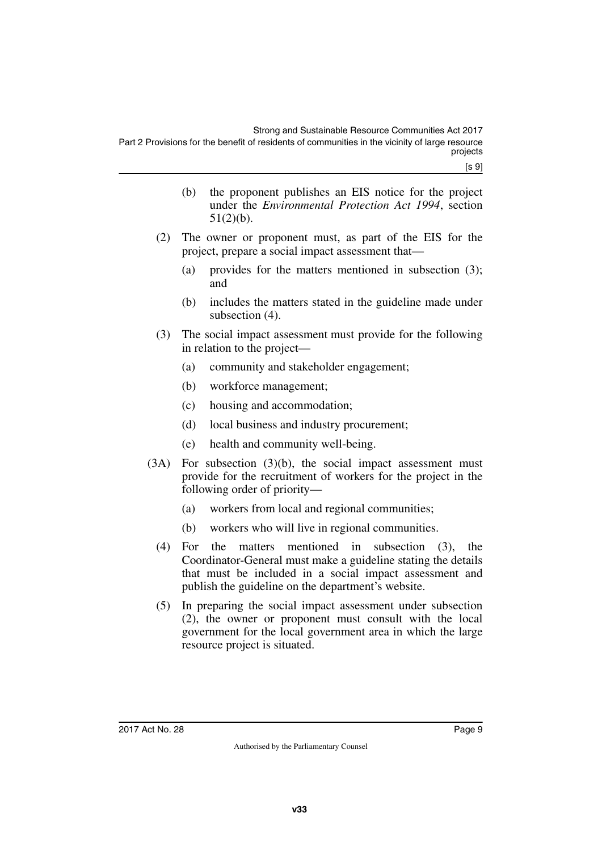[s 9]

- (b) the proponent publishes an EIS notice for the project under the *Environmental Protection Act 1994*, section 51(2)(b).
- (2) The owner or proponent must, as part of the EIS for the project, prepare a social impact assessment that—
	- (a) provides for the matters mentioned in subsection (3); and
	- (b) includes the matters stated in the guideline made under subsection (4).
- (3) The social impact assessment must provide for the following in relation to the project—
	- (a) community and stakeholder engagement;
	- (b) workforce management;
	- (c) housing and accommodation;
	- (d) local business and industry procurement;
	- (e) health and community well-being.
- (3A) For subsection (3)(b), the social impact assessment must provide for the recruitment of workers for the project in the following order of priority—
	- (a) workers from local and regional communities;
	- (b) workers who will live in regional communities.
	- (4) For the matters mentioned in subsection (3), the Coordinator-General must make a guideline stating the details that must be included in a social impact assessment and publish the guideline on the department's website.
	- (5) In preparing the social impact assessment under subsection (2), the owner or proponent must consult with the local government for the local government area in which the large resource project is situated.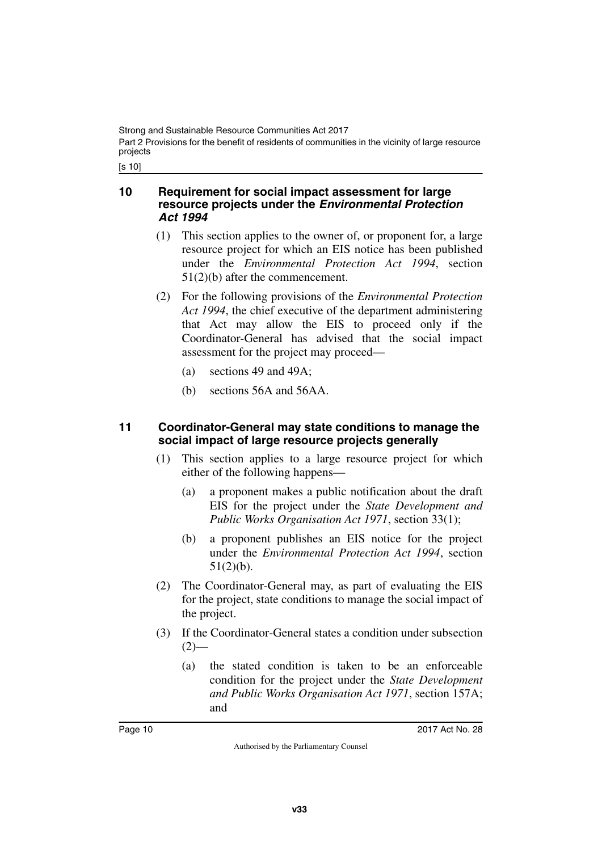[s 10]

#### <span id="page-11-1"></span><span id="page-11-0"></span>**10 Requirement for social impact assessment for large resource projects under the** *Environmental Protection Act 1994*

- (1) This section applies to the owner of, or proponent for, a large resource project for which an EIS notice has been published under the *Environmental Protection Act 1994*, section 51(2)(b) after the commencement.
- (2) For the following provisions of the *Environmental Protection Act 1994*, the chief executive of the department administering that Act may allow the EIS to proceed only if the Coordinator-General has advised that the social impact assessment for the project may proceed—
	- (a) sections 49 and 49A;
	- (b) sections 56A and 56AA.

#### <span id="page-11-3"></span><span id="page-11-2"></span>**11 Coordinator-General may state conditions to manage the social impact of large resource projects generally**

- (1) This section applies to a large resource project for which either of the following happens—
	- (a) a proponent makes a public notification about the draft EIS for the project under the *State Development and Public Works Organisation Act 1971*, section 33(1);
	- (b) a proponent publishes an EIS notice for the project under the *Environmental Protection Act 1994*, section 51(2)(b).
- (2) The Coordinator-General may, as part of evaluating the EIS for the project, state conditions to manage the social impact of the project.
- (3) If the Coordinator-General states a condition under subsection  $(2)$ —
	- (a) the stated condition is taken to be an enforceable condition for the project under the *State Development and Public Works Organisation Act 1971*, section 157A; and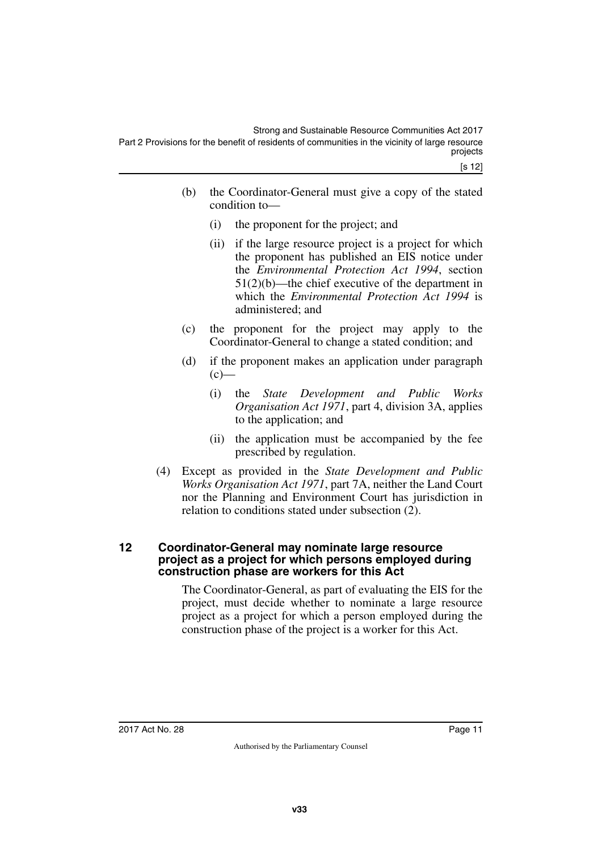- (b) the Coordinator-General must give a copy of the stated condition to—
	- (i) the proponent for the project; and
	- (ii) if the large resource project is a project for which the proponent has published an EIS notice under the *Environmental Protection Act 1994*, section 51(2)(b)—the chief executive of the department in which the *Environmental Protection Act 1994* is administered; and
- (c) the proponent for the project may apply to the Coordinator-General to change a stated condition; and
- (d) if the proponent makes an application under paragraph  $(c)$ —
	- (i) the *State Development and Public Works Organisation Act 1971*, part 4, division 3A, applies to the application; and
	- (ii) the application must be accompanied by the fee prescribed by regulation.
- (4) Except as provided in the *State Development and Public Works Organisation Act 1971*, part 7A, neither the Land Court nor the Planning and Environment Court has jurisdiction in relation to conditions stated under subsection (2).

#### <span id="page-12-1"></span><span id="page-12-0"></span>**12 Coordinator-General may nominate large resource project as a project for which persons employed during construction phase are workers for this Act**

The Coordinator-General, as part of evaluating the EIS for the project, must decide whether to nominate a large resource project as a project for which a person employed during the construction phase of the project is a worker for this Act.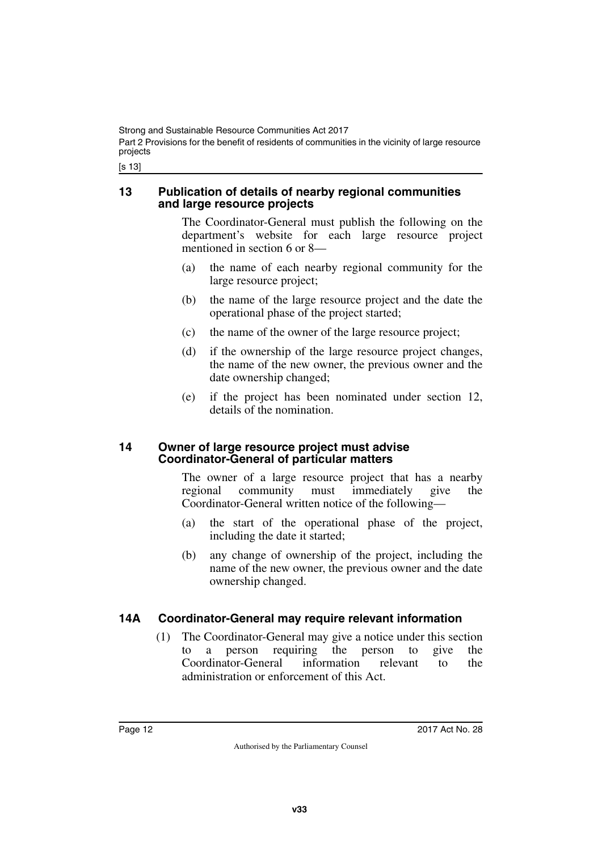[s 13]

#### <span id="page-13-1"></span><span id="page-13-0"></span>**13 Publication of details of nearby regional communities and large resource projects**

The Coordinator-General must publish the following on the department's website for each large resource project mentioned in section 6 or 8—

- (a) the name of each nearby regional community for the large resource project;
- (b) the name of the large resource project and the date the operational phase of the project started;
- (c) the name of the owner of the large resource project;
- (d) if the ownership of the large resource project changes, the name of the new owner, the previous owner and the date ownership changed;
- (e) if the project has been nominated under section 12, details of the nomination.

#### <span id="page-13-3"></span><span id="page-13-2"></span>**14 Owner of large resource project must advise Coordinator-General of particular matters**

The owner of a large resource project that has a nearby regional community must immediately give the Coordinator-General written notice of the following—

- (a) the start of the operational phase of the project, including the date it started;
- (b) any change of ownership of the project, including the name of the new owner, the previous owner and the date ownership changed.

### <span id="page-13-4"></span>**14A Coordinator-General may require relevant information**

<span id="page-13-5"></span>(1) The Coordinator-General may give a notice under this section to a person requiring the person to give the Coordinator-General information relevant to the administration or enforcement of this Act.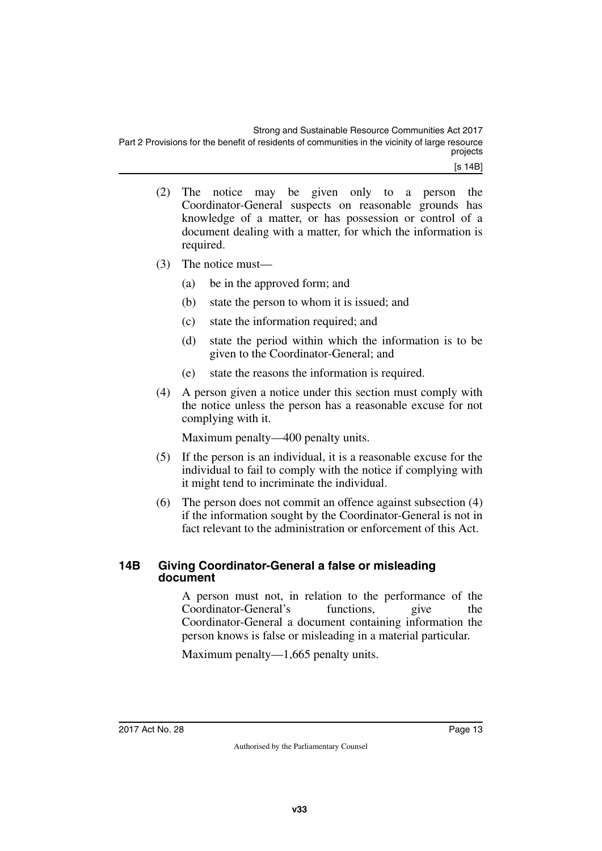- (2) The notice may be given only to a person the Coordinator-General suspects on reasonable grounds has knowledge of a matter, or has possession or control of a document dealing with a matter, for which the information is required.
- (3) The notice must—
	- (a) be in the approved form; and
	- (b) state the person to whom it is issued; and
	- (c) state the information required; and
	- (d) state the period within which the information is to be given to the Coordinator-General; and
	- (e) state the reasons the information is required.
- (4) A person given a notice under this section must comply with the notice unless the person has a reasonable excuse for not complying with it.

Maximum penalty—400 penalty units.

- (5) If the person is an individual, it is a reasonable excuse for the individual to fail to comply with the notice if complying with it might tend to incriminate the individual.
- (6) The person does not commit an offence against subsection (4) if the information sought by the Coordinator-General is not in fact relevant to the administration or enforcement of this Act.

#### <span id="page-14-1"></span><span id="page-14-0"></span>**14B Giving Coordinator-General a false or misleading document**

A person must not, in relation to the performance of the Coordinator-General's functions, give the Coordinator-General a document containing information the person knows is false or misleading in a material particular.

Maximum penalty—1,665 penalty units.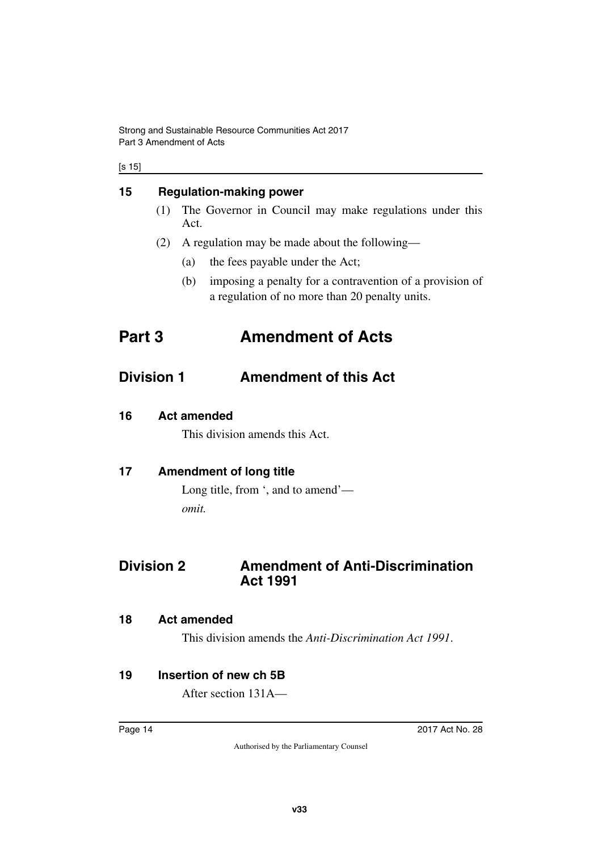#### [s 15]

### <span id="page-15-0"></span>**15 Regulation-making power**

- <span id="page-15-1"></span>(1) The Governor in Council may make regulations under this Act.
- <span id="page-15-3"></span>(2) A regulation may be made about the following—
	- (a) the fees payable under the Act;
	- (b) imposing a penalty for a contravention of a provision of a regulation of no more than 20 penalty units.

# <span id="page-15-2"></span>**Part 3 Amendment of Acts**

## <span id="page-15-4"></span>**Division 1 Amendment of this Act**

### <span id="page-15-6"></span>**16 Act amended**

<span id="page-15-7"></span><span id="page-15-5"></span>This division amends this Act.

## <span id="page-15-8"></span>**17 Amendment of long title**

<span id="page-15-11"></span><span id="page-15-9"></span>Long title, from ', and to amend' *omit.*

## <span id="page-15-10"></span>**Division 2 Amendment of Anti-Discrimination Act 1991**

#### <span id="page-15-12"></span>**18 Act amended**

<span id="page-15-15"></span><span id="page-15-13"></span>This division amends the *Anti-Discrimination Act 1991*.

## <span id="page-15-14"></span>**19 Insertion of new ch 5B**

After section 131A—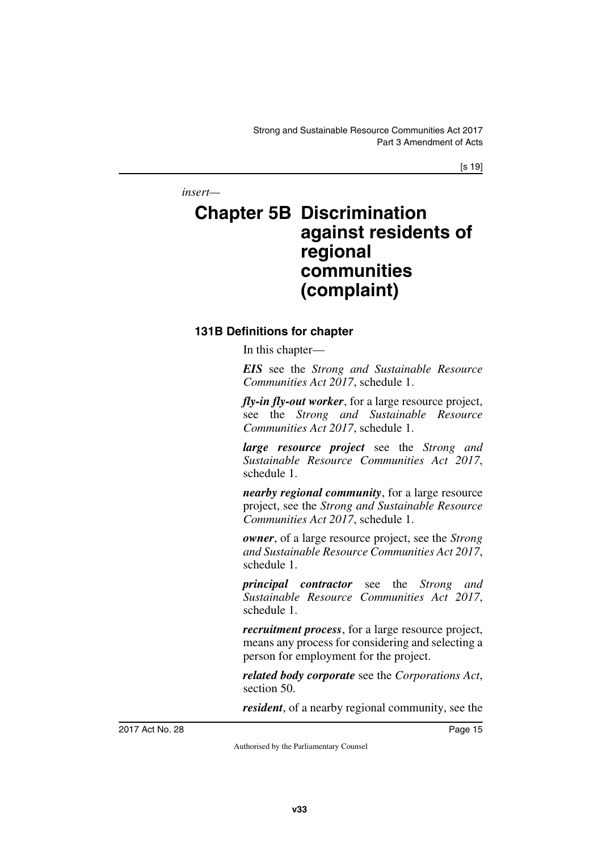[s 19]

*insert—*

# <span id="page-16-1"></span><span id="page-16-0"></span>**Chapter 5B Discrimination against residents of regional communities (complaint)**

### <span id="page-16-3"></span><span id="page-16-2"></span>**131B Definitions for chapter**

In this chapter—

*EIS* see the *Strong and Sustainable Resource Communities Act 2017*, schedule 1.

*fly-in fly-out worker*, for a large resource project, see the *Strong and Sustainable Resource Communities Act 2017*, schedule 1.

*large resource project* see the *Strong and Sustainable Resource Communities Act 2017*, schedule 1.

*nearby regional community*, for a large resource project, see the *Strong and Sustainable Resource Communities Act 2017*, schedule 1.

*owner*, of a large resource project, see the *Strong and Sustainable Resource Communities Act 2017*, schedule 1.

*principal contractor* see the *Strong and Sustainable Resource Communities Act 2017*, schedule 1.

*recruitment process*, for a large resource project, means any process for considering and selecting a person for employment for the project.

*related body corporate* see the *Corporations Act*, section 50.

*resident*, of a nearby regional community, see the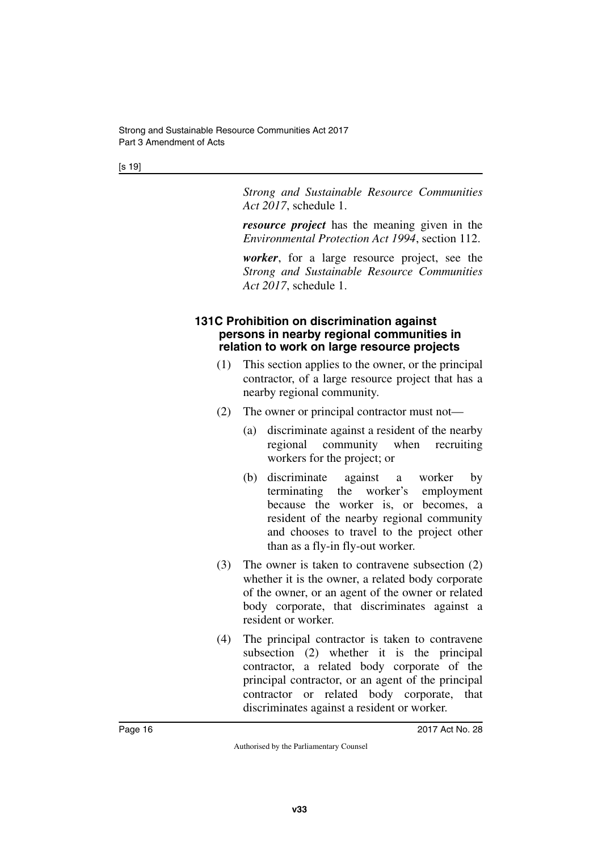[s 19]

*Strong and Sustainable Resource Communities Act 2017*, schedule 1.

*resource project* has the meaning given in the *Environmental Protection Act 1994*, section 112.

*worker*, for a large resource project, see the *Strong and Sustainable Resource Communities Act 2017*, schedule 1.

#### <span id="page-17-1"></span><span id="page-17-0"></span>**131C Prohibition on discrimination against persons in nearby regional communities in relation to work on large resource projects**

- (1) This section applies to the owner, or the principal contractor, of a large resource project that has a nearby regional community.
- (2) The owner or principal contractor must not—
	- (a) discriminate against a resident of the nearby regional community when recruiting workers for the project; or
	- (b) discriminate against a worker by terminating the worker's employment because the worker is, or becomes, a resident of the nearby regional community and chooses to travel to the project other than as a fly-in fly-out worker.
- (3) The owner is taken to contravene subsection (2) whether it is the owner, a related body corporate of the owner, or an agent of the owner or related body corporate, that discriminates against a resident or worker.
- (4) The principal contractor is taken to contravene subsection (2) whether it is the principal contractor, a related body corporate of the principal contractor, or an agent of the principal contractor or related body corporate, that discriminates against a resident or worker.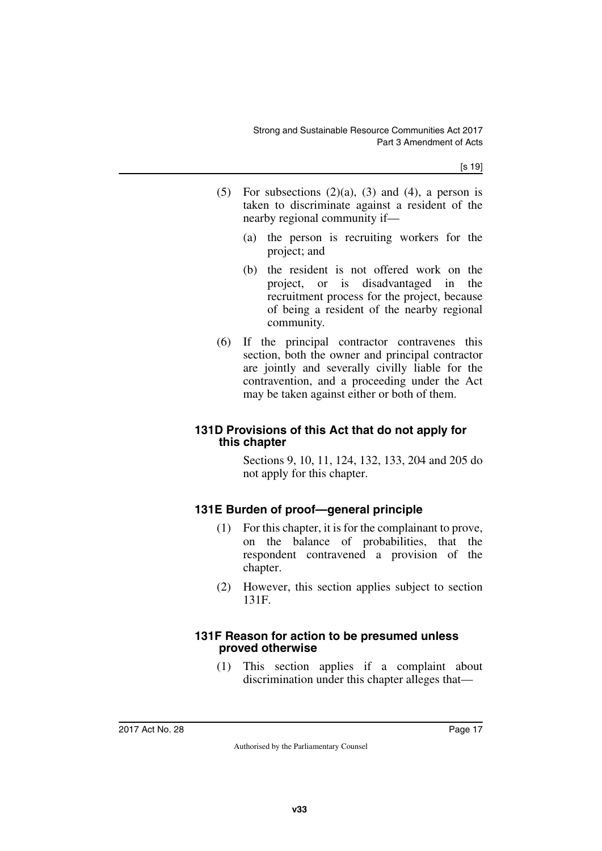- (5) For subsections  $(2)(a)$ ,  $(3)$  and  $(4)$ , a person is taken to discriminate against a resident of the nearby regional community if—
	- (a) the person is recruiting workers for the project; and
	- (b) the resident is not offered work on the project, or is disadvantaged in the recruitment process for the project, because of being a resident of the nearby regional community.
- (6) If the principal contractor contravenes this section, both the owner and principal contractor are jointly and severally civilly liable for the contravention, and a proceeding under the Act may be taken against either or both of them.

### <span id="page-18-1"></span><span id="page-18-0"></span>**131D Provisions of this Act that do not apply for this chapter**

Sections 9, 10, 11, 124, 132, 133, 204 and 205 do not apply for this chapter.

## <span id="page-18-2"></span>**131E Burden of proof—general principle**

- <span id="page-18-3"></span>(1) For this chapter, it is for the complainant to prove, on the balance of probabilities, that the respondent contravened a provision of the chapter.
- (2) However, this section applies subject to section 131F.

#### <span id="page-18-5"></span><span id="page-18-4"></span>**131F Reason for action to be presumed unless proved otherwise**

(1) This section applies if a complaint about discrimination under this chapter alleges that—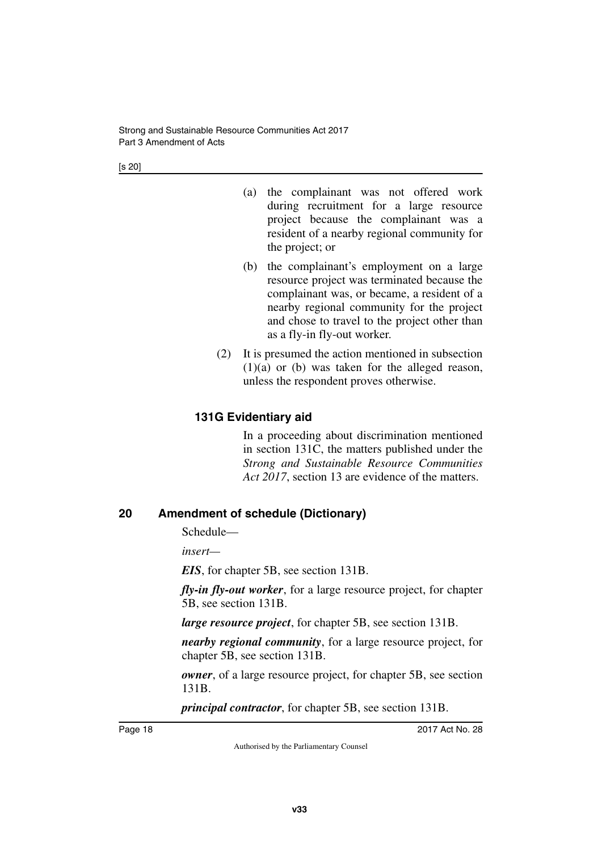- (a) the complainant was not offered work during recruitment for a large resource project because the complainant was a resident of a nearby regional community for the project; or
- (b) the complainant's employment on a large resource project was terminated because the complainant was, or became, a resident of a nearby regional community for the project and chose to travel to the project other than as a fly-in fly-out worker.
- (2) It is presumed the action mentioned in subsection  $(1)(a)$  or  $(b)$  was taken for the alleged reason, unless the respondent proves otherwise.

## <span id="page-19-1"></span><span id="page-19-0"></span>**131G Evidentiary aid**

In a proceeding about discrimination mentioned in section 131C, the matters published under the *Strong and Sustainable Resource Communities Act 2017*, section 13 are evidence of the matters.

## <span id="page-19-2"></span>**20 Amendment of schedule (Dictionary)**

<span id="page-19-3"></span>Schedule—

*insert—*

*EIS*, for chapter 5B, see section 131B.

*fly-in fly-out worker*, for a large resource project, for chapter 5B, see section 131B.

*large resource project*, for chapter 5B, see section 131B.

*nearby regional community*, for a large resource project, for chapter 5B, see section 131B.

*owner*, of a large resource project, for chapter 5B, see section 131B.

*principal contractor*, for chapter 5B, see section 131B.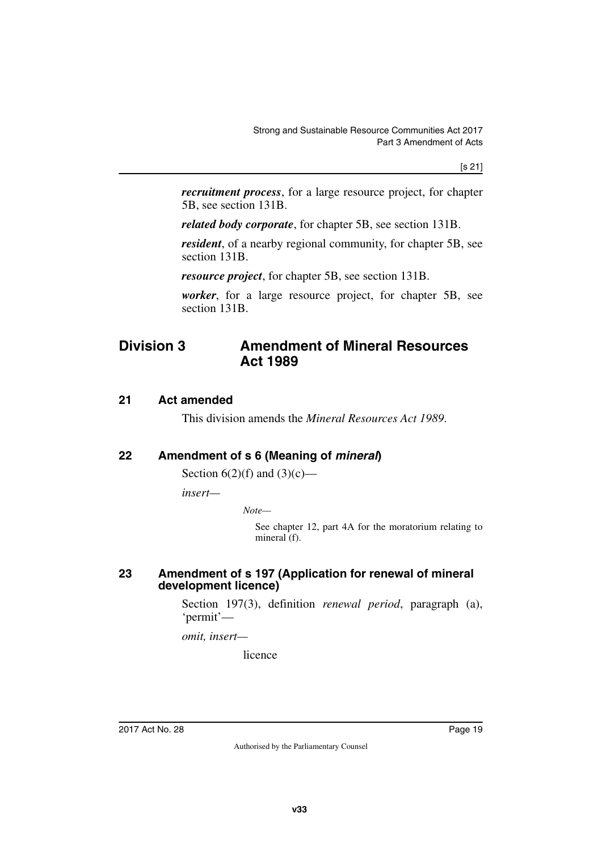*recruitment process*, for a large resource project, for chapter 5B, see section 131B.

*related body corporate*, for chapter 5B, see section 131B.

*resident*, of a nearby regional community, for chapter 5B, see section 131B.

*resource project*, for chapter 5B, see section 131B.

<span id="page-20-1"></span>*worker*, for a large resource project, for chapter 5B, see section 131B.

## <span id="page-20-0"></span>**Division 3 Amendment of Mineral Resources Act 1989**

#### <span id="page-20-2"></span>**21 Act amended**

<span id="page-20-5"></span><span id="page-20-3"></span>This division amends the *Mineral Resources Act 1989*.

### <span id="page-20-4"></span>**22 Amendment of s 6 (Meaning of** *mineral***)**

Section  $6(2)(f)$  and  $(3)(c)$ —

*insert—*

*Note—*

See chapter 12, part 4A for the moratorium relating to mineral (f).

#### <span id="page-20-7"></span><span id="page-20-6"></span>**23 Amendment of s 197 (Application for renewal of mineral development licence)**

Section 197(3), definition *renewal period*, paragraph (a), 'permit'—

*omit, insert—*

licence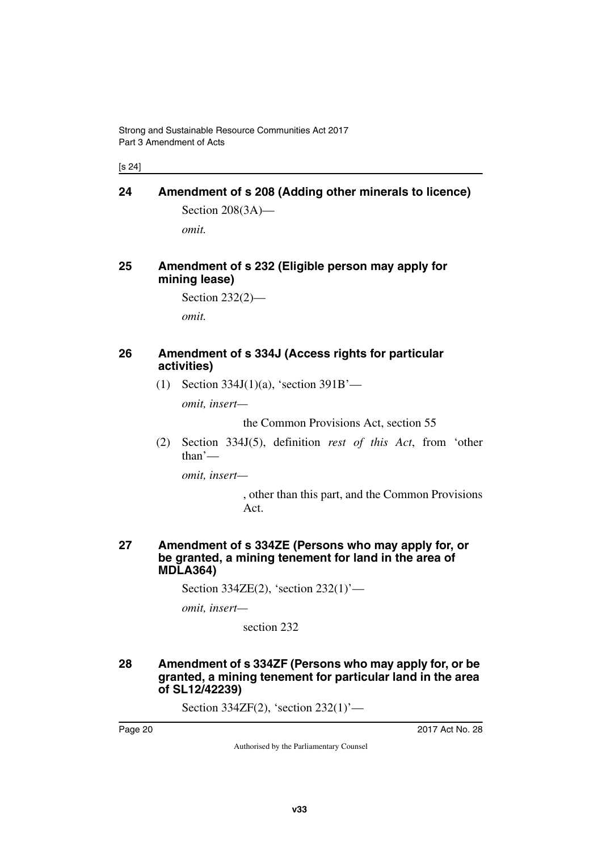[s 24]

# <span id="page-21-1"></span><span id="page-21-0"></span>**24 Amendment of s 208 (Adding other minerals to licence)** Section 208(3A)—

<span id="page-21-3"></span>*omit.*

### <span id="page-21-2"></span>**25 Amendment of s 232 (Eligible person may apply for mining lease)**

Section 232(2)—

<span id="page-21-5"></span>*omit.*

### <span id="page-21-4"></span>**26 Amendment of s 334J (Access rights for particular activities)**

(1) Section 334J(1)(a), 'section 391B'—

*omit, insert—*

the Common Provisions Act, section 55

(2) Section 334J(5), definition *rest of this Act*, from 'other than'—

*omit, insert—*

, other than this part, and the Common Provisions Act.

#### <span id="page-21-7"></span><span id="page-21-6"></span>**27 Amendment of s 334ZE (Persons who may apply for, or be granted, a mining tenement for land in the area of MDLA364)**

Section 334ZE(2), 'section 232(1)'—

*omit, insert—*

section 232

#### <span id="page-21-9"></span><span id="page-21-8"></span>**28 Amendment of s 334ZF (Persons who may apply for, or be granted, a mining tenement for particular land in the area of SL12/42239)**

Section 334ZF(2), 'section 232(1)'—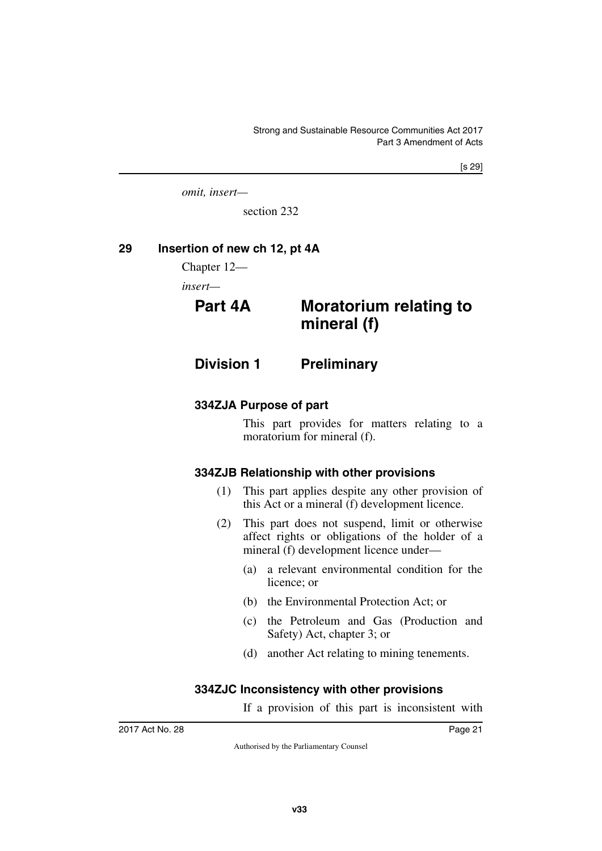[s 29]

*omit, insert—*

<span id="page-22-3"></span>section 232

#### <span id="page-22-0"></span>**29 Insertion of new ch 12, pt 4A**

<span id="page-22-1"></span>Chapter 12—

*insert—*

## <span id="page-22-2"></span>**Part 4A Moratorium relating to mineral (f)**

<span id="page-22-4"></span>**Division 1 Preliminary**

#### <span id="page-22-6"></span>**334ZJA Purpose of part**

<span id="page-22-7"></span><span id="page-22-5"></span>This part provides for matters relating to a moratorium for mineral (f).

### <span id="page-22-8"></span>**334ZJB Relationship with other provisions**

- <span id="page-22-9"></span>(1) This part applies despite any other provision of this Act or a mineral (f) development licence.
- (2) This part does not suspend, limit or otherwise affect rights or obligations of the holder of a mineral (f) development licence under—
	- (a) a relevant environmental condition for the licence; or
	- (b) the Environmental Protection Act; or
	- (c) the Petroleum and Gas (Production and Safety) Act, chapter 3; or
	- (d) another Act relating to mining tenements.

#### <span id="page-22-10"></span>**334ZJC Inconsistency with other provisions**

<span id="page-22-11"></span>If a provision of this part is inconsistent with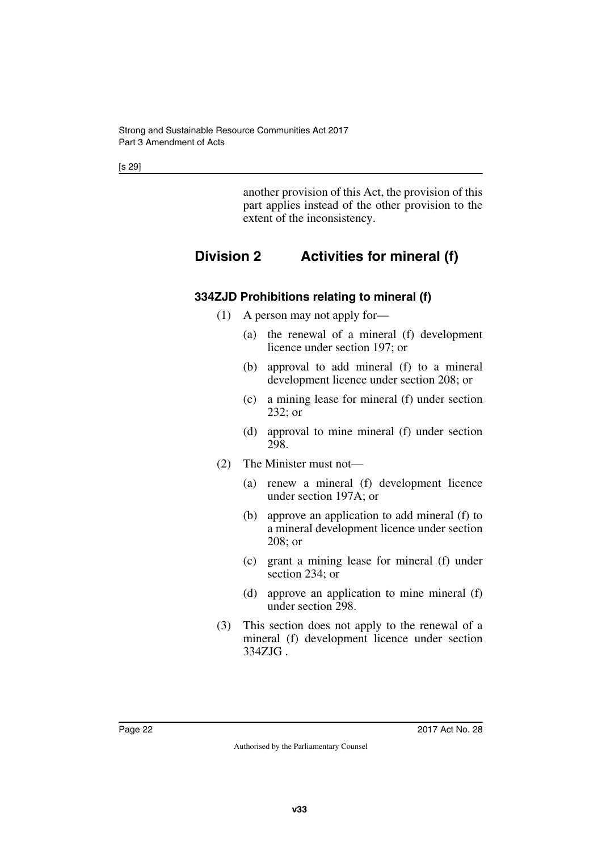[s 29]

<span id="page-23-1"></span>another provision of this Act, the provision of this part applies instead of the other provision to the extent of the inconsistency.

## <span id="page-23-0"></span>**Division 2 Activities for mineral (f)**

## <span id="page-23-2"></span>**334ZJD Prohibitions relating to mineral (f)**

- <span id="page-23-3"></span>(1) A person may not apply for—
	- (a) the renewal of a mineral (f) development licence under section 197; or
	- (b) approval to add mineral (f) to a mineral development licence under section 208; or
	- (c) a mining lease for mineral (f) under section 232; or
	- (d) approval to mine mineral (f) under section 298.
- (2) The Minister must not—
	- (a) renew a mineral (f) development licence under section 197A; or
	- (b) approve an application to add mineral (f) to a mineral development licence under section 208; or
	- (c) grant a mining lease for mineral (f) under section 234; or
	- (d) approve an application to mine mineral (f) under section 298.
- (3) This section does not apply to the renewal of a mineral (f) development licence under section 334ZJG .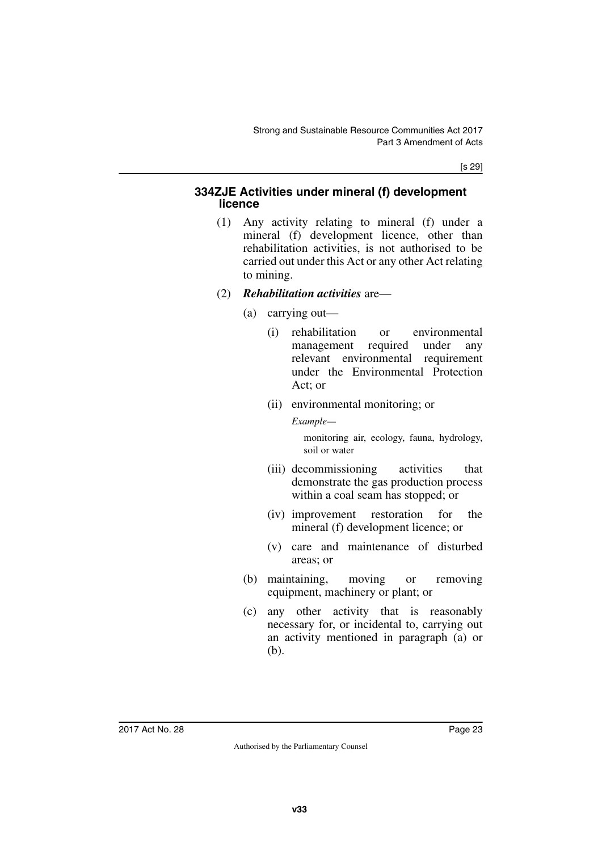[s 29]

#### <span id="page-24-1"></span><span id="page-24-0"></span>**334ZJE Activities under mineral (f) development licence**

- (1) Any activity relating to mineral (f) under a mineral (f) development licence, other than rehabilitation activities, is not authorised to be carried out under this Act or any other Act relating to mining.
- (2) *Rehabilitation activities* are—
	- (a) carrying out—
		- (i) rehabilitation or environmental management required under any relevant environmental requirement under the Environmental Protection Act; or
		- (ii) environmental monitoring; or

*Example—*

monitoring air, ecology, fauna, hydrology, soil or water

- (iii) decommissioning activities that demonstrate the gas production process within a coal seam has stopped; or
- (iv) improvement restoration for the mineral (f) development licence; or
- (v) care and maintenance of disturbed areas; or
- (b) maintaining, moving or removing equipment, machinery or plant; or
- (c) any other activity that is reasonably necessary for, or incidental to, carrying out an activity mentioned in paragraph (a) or (b).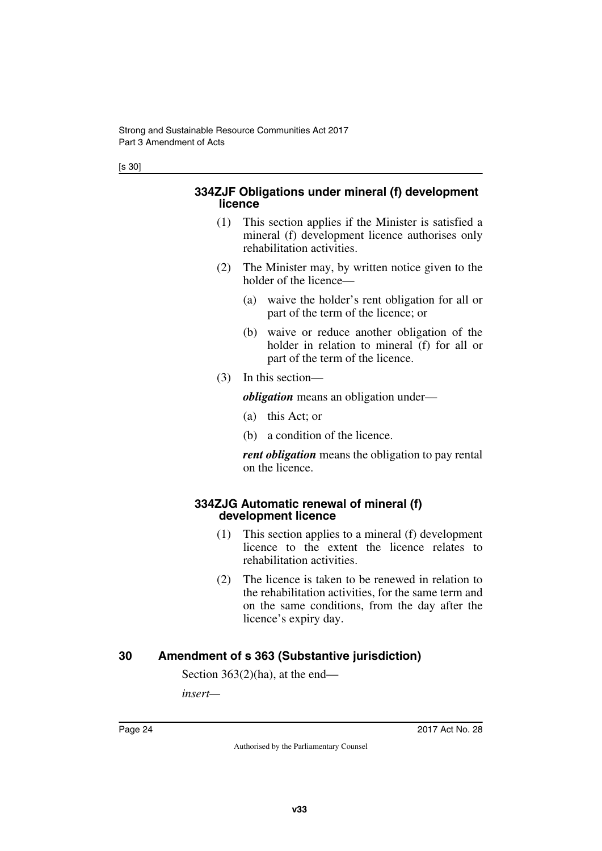#### <span id="page-25-1"></span><span id="page-25-0"></span>**334ZJF Obligations under mineral (f) development licence**

- (1) This section applies if the Minister is satisfied a mineral (f) development licence authorises only rehabilitation activities.
- (2) The Minister may, by written notice given to the holder of the licence—
	- (a) waive the holder's rent obligation for all or part of the term of the licence; or
	- (b) waive or reduce another obligation of the holder in relation to mineral (f) for all or part of the term of the licence.
- (3) In this section—

*obligation* means an obligation under—

- (a) this Act; or
- (b) a condition of the licence.

<span id="page-25-3"></span>*rent obligation* means the obligation to pay rental on the licence.

#### <span id="page-25-2"></span>**334ZJG Automatic renewal of mineral (f) development licence**

- (1) This section applies to a mineral (f) development licence to the extent the licence relates to rehabilitation activities.
- (2) The licence is taken to be renewed in relation to the rehabilitation activities, for the same term and on the same conditions, from the day after the licence's expiry day.

## <span id="page-25-4"></span>**30 Amendment of s 363 (Substantive jurisdiction)**

<span id="page-25-5"></span>Section 363(2)(ha), at the end—

*insert—*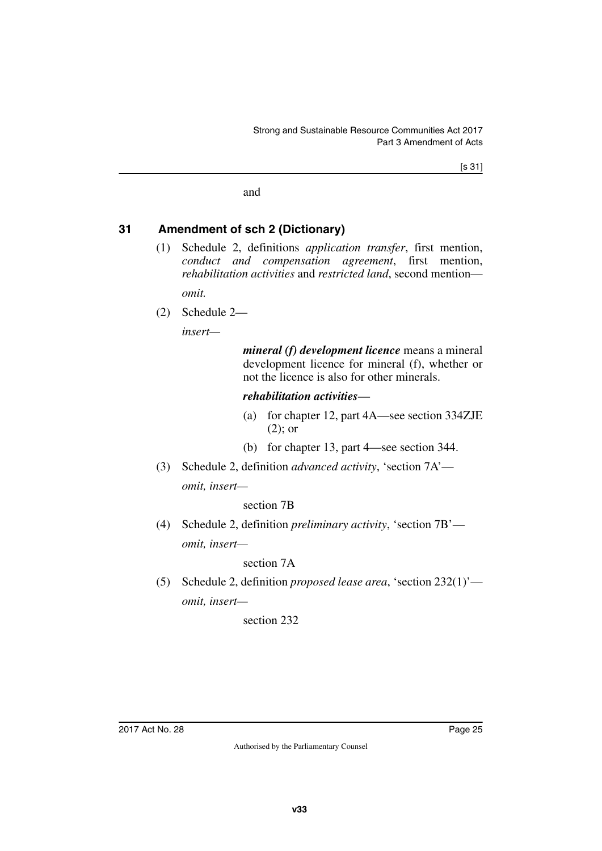and

### <span id="page-26-0"></span>**31 Amendment of sch 2 (Dictionary)**

<span id="page-26-1"></span>(1) Schedule 2, definitions *application transfer*, first mention, *conduct and compensation agreement*, first mention, *rehabilitation activities* and *restricted land*, second mention—

*omit.*

(2) Schedule 2—

*insert—*

*mineral (f) development licence* means a mineral development licence for mineral (f), whether or not the licence is also for other minerals.

#### *rehabilitation activities*—

- (a) for chapter 12, part 4A—see section 334ZJE (2); or
- (b) for chapter 13, part 4—see section 344.
- (3) Schedule 2, definition *advanced activity*, 'section 7A' *omit, insert—*

#### section 7B

(4) Schedule 2, definition *preliminary activity*, 'section 7B' *omit, insert—*

#### section 7A

(5) Schedule 2, definition *proposed lease area*, 'section 232(1)' *omit, insert—*

#### section 232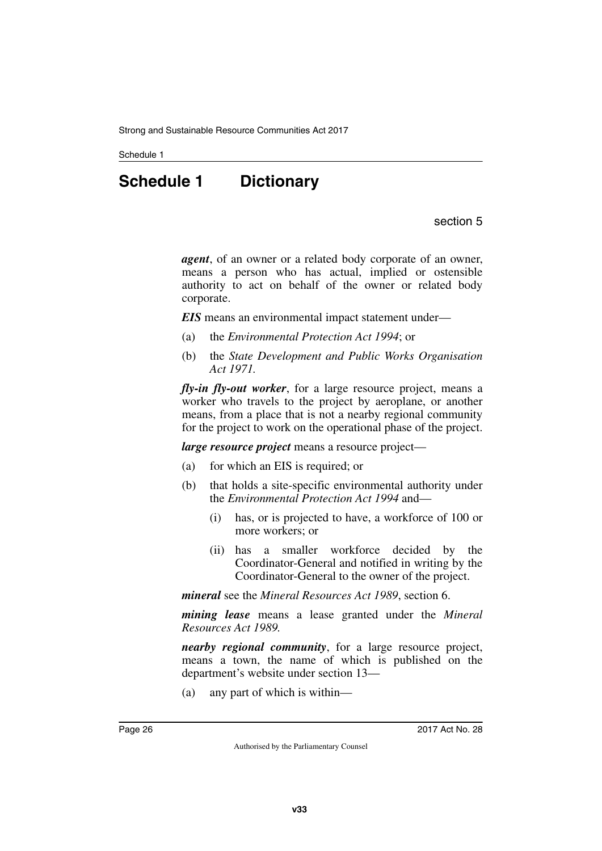<span id="page-27-0"></span>Schedule 1

# **Schedule 1 Dictionary**

section 5

<span id="page-27-1"></span>*agent*, of an owner or a related body corporate of an owner, means a person who has actual, implied or ostensible authority to act on behalf of the owner or related body corporate.

*EIS* means an environmental impact statement under—

- (a) the *Environmental Protection Act 1994*; or
- (b) the *State Development and Public Works Organisation Act 1971.*

*fly-in fly-out worker*, for a large resource project, means a worker who travels to the project by aeroplane, or another means, from a place that is not a nearby regional community for the project to work on the operational phase of the project.

*large resource project* means a resource project—

- (a) for which an EIS is required; or
- (b) that holds a site-specific environmental authority under the *Environmental Protection Act 1994* and—
	- (i) has, or is projected to have, a workforce of 100 or more workers; or
	- (ii) has a smaller workforce decided by the Coordinator-General and notified in writing by the Coordinator-General to the owner of the project.

*mineral* see the *Mineral Resources Act 1989*, section 6.

*mining lease* means a lease granted under the *Mineral Resources Act 1989.*

*nearby regional community*, for a large resource project, means a town, the name of which is published on the department's website under section 13—

(a) any part of which is within—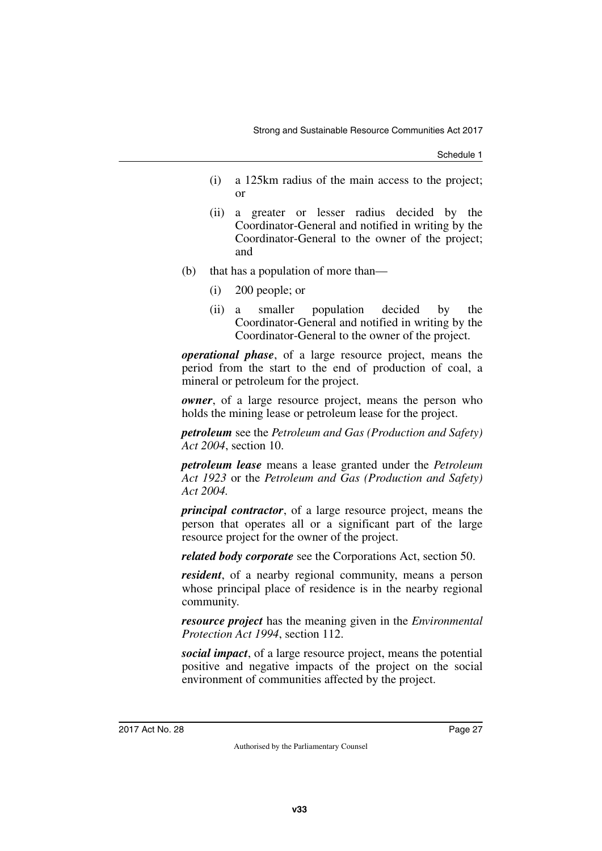Schedule 1

- (i) a 125km radius of the main access to the project; or
- (ii) a greater or lesser radius decided by the Coordinator-General and notified in writing by the Coordinator-General to the owner of the project; and
- (b) that has a population of more than—
	- (i) 200 people; or
	- (ii) a smaller population decided by the Coordinator-General and notified in writing by the Coordinator-General to the owner of the project.

*operational phase*, of a large resource project, means the period from the start to the end of production of coal, a mineral or petroleum for the project.

*owner*, of a large resource project, means the person who holds the mining lease or petroleum lease for the project.

*petroleum* see the *Petroleum and Gas (Production and Safety) Act 2004*, section 10.

*petroleum lease* means a lease granted under the *Petroleum Act 1923* or the *Petroleum and Gas (Production and Safety) Act 2004.*

*principal contractor*, of a large resource project, means the person that operates all or a significant part of the large resource project for the owner of the project.

*related body corporate* see the Corporations Act, section 50.

*resident*, of a nearby regional community, means a person whose principal place of residence is in the nearby regional community.

*resource project* has the meaning given in the *Environmental Protection Act 1994*, section 112.

*social impact*, of a large resource project, means the potential positive and negative impacts of the project on the social environment of communities affected by the project.